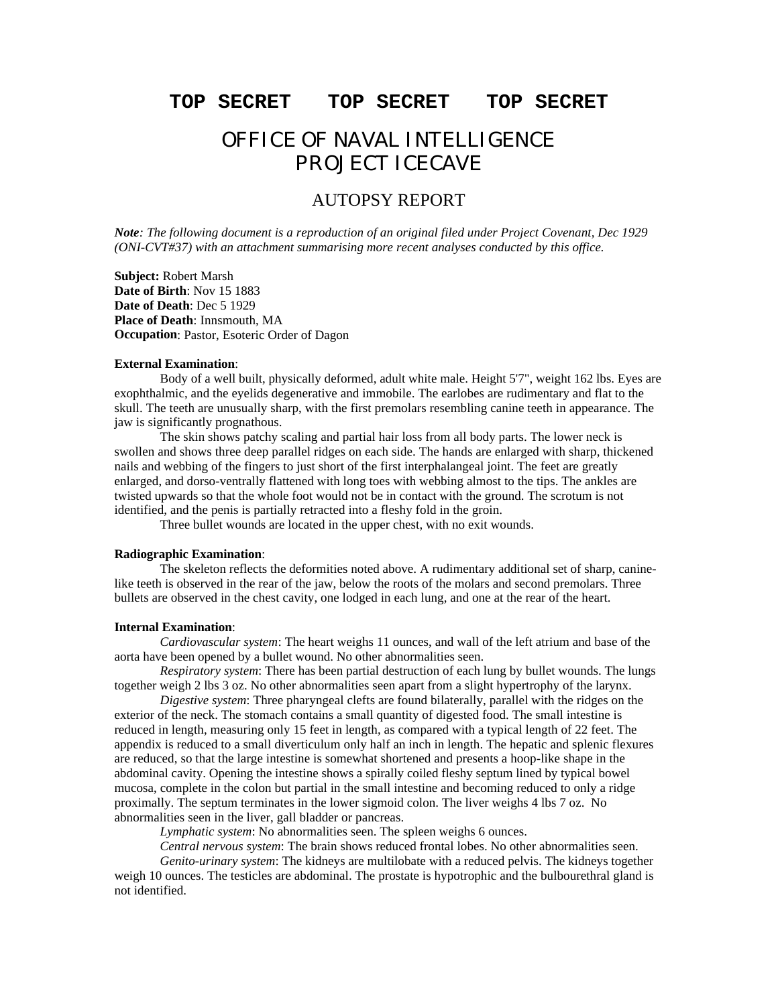# **TOP SECRET TOP SECRET TOP SECRET**

# OFFICE OF NAVAL INTELLIGENCE PROJECT ICECAVE

# AUTOPSY REPORT

*Note: The following document is a reproduction of an original filed under Project Covenant, Dec 1929 (ONI-CVT#37) with an attachment summarising more recent analyses conducted by this office.*

**Subject:** Robert Marsh **Date of Birth**: Nov 15 1883 **Date of Death**: Dec 5 1929 **Place of Death**: Innsmouth, MA **Occupation**: Pastor, Esoteric Order of Dagon

### **External Examination**:

Body of a well built, physically deformed, adult white male. Height 5'7", weight 162 lbs. Eyes are exophthalmic, and the eyelids degenerative and immobile. The earlobes are rudimentary and flat to the skull. The teeth are unusually sharp, with the first premolars resembling canine teeth in appearance. The jaw is significantly prognathous.

The skin shows patchy scaling and partial hair loss from all body parts. The lower neck is swollen and shows three deep parallel ridges on each side. The hands are enlarged with sharp, thickened nails and webbing of the fingers to just short of the first interphalangeal joint. The feet are greatly enlarged, and dorso-ventrally flattened with long toes with webbing almost to the tips. The ankles are twisted upwards so that the whole foot would not be in contact with the ground. The scrotum is not identified, and the penis is partially retracted into a fleshy fold in the groin.

Three bullet wounds are located in the upper chest, with no exit wounds.

### **Radiographic Examination**:

The skeleton reflects the deformities noted above. A rudimentary additional set of sharp, caninelike teeth is observed in the rear of the jaw, below the roots of the molars and second premolars. Three bullets are observed in the chest cavity, one lodged in each lung, and one at the rear of the heart.

# **Internal Examination**:

*Cardiovascular system*: The heart weighs 11 ounces, and wall of the left atrium and base of the aorta have been opened by a bullet wound. No other abnormalities seen.

*Respiratory system*: There has been partial destruction of each lung by bullet wounds. The lungs together weigh 2 lbs 3 oz. No other abnormalities seen apart from a slight hypertrophy of the larynx.

*Digestive system*: Three pharyngeal clefts are found bilaterally, parallel with the ridges on the exterior of the neck. The stomach contains a small quantity of digested food. The small intestine is reduced in length, measuring only 15 feet in length, as compared with a typical length of 22 feet. The appendix is reduced to a small diverticulum only half an inch in length. The hepatic and splenic flexures are reduced, so that the large intestine is somewhat shortened and presents a hoop-like shape in the abdominal cavity. Opening the intestine shows a spirally coiled fleshy septum lined by typical bowel mucosa, complete in the colon but partial in the small intestine and becoming reduced to only a ridge proximally. The septum terminates in the lower sigmoid colon. The liver weighs 4 lbs 7 oz. No abnormalities seen in the liver, gall bladder or pancreas.

*Lymphatic system*: No abnormalities seen. The spleen weighs 6 ounces.

*Central nervous system*: The brain shows reduced frontal lobes. No other abnormalities seen.

*Genito-urinary system*: The kidneys are multilobate with a reduced pelvis. The kidneys together weigh 10 ounces. The testicles are abdominal. The prostate is hypotrophic and the bulbourethral gland is not identified.